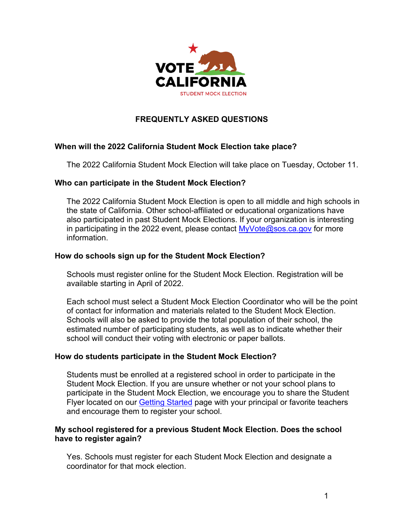

# **FREQUENTLY ASKED QUESTIONS**

## **When will the 2022 California Student Mock Election take place?**

The 2022 California Student Mock Election will take place on Tuesday, October 11.

### **Who can participate in the Student Mock Election?**

The 2022 California Student Mock Election is open to all middle and high schools in the state of California. Other school-affiliated or educational organizations have also participated in past Student Mock Elections. If your organization is interesting in participating in the 2022 event, please contact  $MyVote@sos.ca.gov$  for more information.

### **How do schools sign up for the Student Mock Election?**

Schools must register online for the Student Mock Election. Registration will be available starting in April of 2022.

Each school must select a Student Mock Election Coordinator who will be the point of contact for information and materials related to the Student Mock Election. Schools will also be asked to provide the total population of their school, the estimated number of participating students, as well as to indicate whether their school will conduct their voting with electronic or paper ballots.

### **How do students participate in the Student Mock Election?**

Students must be enrolled at a registered school in order to participate in the Student Mock Election. If you are unsure whether or not your school plans to participate in the Student Mock Election, we encourage you to share the Student Flyer located on our **Getting Started page with your principal or favorite teachers** and encourage them to register your school.

### **My school registered for a previous Student Mock Election. Does the school have to register again?**

Yes. Schools must register for each Student Mock Election and designate a coordinator for that mock election.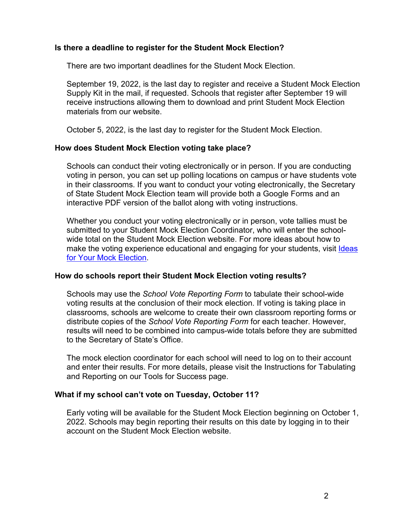#### **Is there a deadline to register for the Student Mock Election?**

There are two important deadlines for the Student Mock Election.

September 19, 2022, is the last day to register and receive a Student Mock Election Supply Kit in the mail, if requested. Schools that register after September 19 will receive instructions allowing them to download and print Student Mock Election materials from our website.

October 5, 2022, is the last day to register for the Student Mock Election.

### **How does Student Mock Election voting take place?**

Schools can conduct their voting electronically or in person. If you are conducting voting in person, you can set up polling locations on campus or have students vote in their classrooms. If you want to conduct your voting electronically, the Secretary of State Student Mock Election team will provide both a Google Forms and an interactive PDF version of the ballot along with voting instructions.

Whether you conduct your voting electronically or in person, vote tallies must be submitted to your Student Mock Election Coordinator, who will enter the schoolwide total on the Student Mock Election website. For more ideas about how to make the voting experience educational and engaging for your students, visit [Ideas](https://www.sos.ca.gov/elections/studentmockelection/find-ideas)  [for Your Mock Election.](https://www.sos.ca.gov/elections/studentmockelection/find-ideas)

### **How do schools report their Student Mock Election voting results?**

Schools may use the *School Vote Reporting Form* to tabulate their school-wide voting results at the conclusion of their mock election. If voting is taking place in classrooms, schools are welcome to create their own classroom reporting forms or distribute copies of the *School Vote Reporting Form* for each teacher. However, results will need to be combined into campus-wide totals before they are submitted to the Secretary of State's Office.

The mock election coordinator for each school will need to log on to their account and enter their results. For more details, please visit the Instructions for Tabulating and Reporting on our Tools for Success page.

#### **What if my school can't vote on Tuesday, October 11?**

Early voting will be available for the Student Mock Election beginning on October 1, 2022. Schools may begin reporting their results on this date by logging in to their account on the Student Mock Election website.